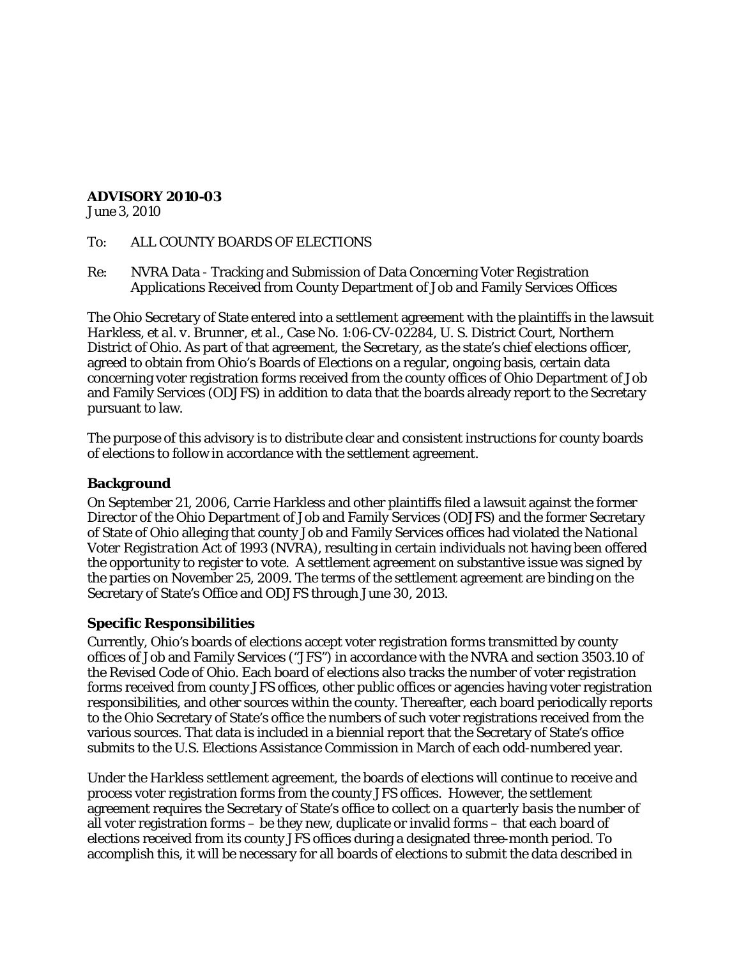## **ADVISORY 2010-03**

June 3, 2010

- To: ALL COUNTY BOARDS OF ELECTIONS
- Re: NVRA Data Tracking and Submission of Data Concerning Voter Registration Applications Received from County Department of Job and Family Services Offices

The Ohio Secretary of State entered into a settlement agreement with the plaintiffs in the lawsuit *Harkless, et al. v. Brunner, et al.*, Case No. 1:06-CV-02284, U. S. District Court, Northern District of Ohio*.* As part of that agreement, the Secretary, as the state's chief elections officer, agreed to obtain from Ohio's Boards of Elections on a regular, ongoing basis, certain data concerning voter registration forms received from the county offices of Ohio Department of Job and Family Services (ODJFS) in addition to data that the boards already report to the Secretary pursuant to law.

The purpose of this advisory is to distribute clear and consistent instructions for county boards of elections to follow in accordance with the settlement agreement.

### **Background**

On September 21, 2006, Carrie Harkless and other plaintiffs filed a lawsuit against the former Director of the Ohio Department of Job and Family Services (ODJFS) and the former Secretary of State of Ohio alleging that county Job and Family Services offices had violated the *National Voter Registration Act of 1993* (NVRA), resulting in certain individuals not having been offered the opportunity to register to vote. A settlement agreement on substantive issue was signed by the parties on November 25, 2009. The terms of the settlement agreement are binding on the Secretary of State's Office and ODJFS through June 30, 2013.

## **Specific Responsibilities**

Currently, Ohio's boards of elections accept voter registration forms transmitted by county offices of Job and Family Services ("JFS") in accordance with the NVRA and section 3503.10 of the Revised Code of Ohio. Each board of elections also tracks the number of voter registration forms received from county JFS offices, other public offices or agencies having voter registration responsibilities, and other sources within the county. Thereafter, each board periodically reports to the Ohio Secretary of State's office the numbers of such voter registrations received from the various sources. That data is included in a biennial report that the Secretary of State's office submits to the U.S. Elections Assistance Commission in March of each odd-numbered year.

Under the *Harkless* settlement agreement, the boards of elections will continue to receive and process voter registration forms from the county JFS offices. However, the settlement agreement requires the Secretary of State's office to collect *on a quarterly basis* the number of all voter registration forms – be they new, duplicate or invalid forms – that each board of elections received from its county JFS offices during a designated three-month period. To accomplish this, it will be necessary for all boards of elections to submit the data described in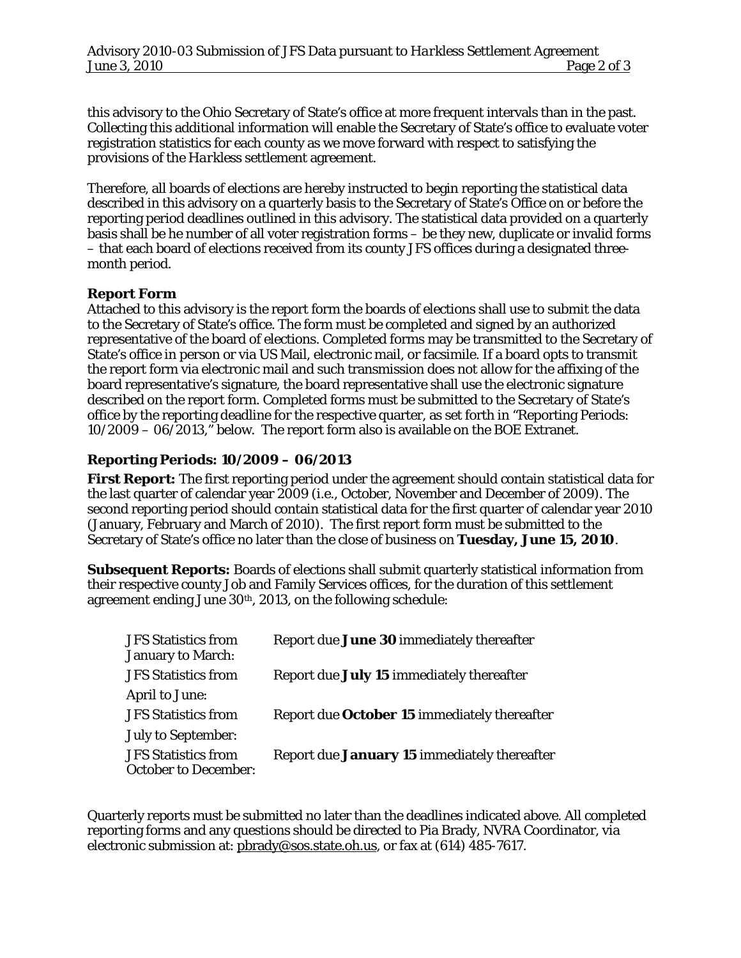this advisory to the Ohio Secretary of State's office at more frequent intervals than in the past. Collecting this additional information will enable the Secretary of State's office to evaluate voter registration statistics for each county as we move forward with respect to satisfying the provisions of the *Harkless* settlement agreement.

Therefore, all boards of elections are hereby instructed to begin reporting the statistical data described in this advisory on a quarterly basis to the Secretary of State's Office on or before the reporting period deadlines outlined in this advisory. The statistical data provided on a quarterly basis shall be he number of all voter registration forms – be they new, duplicate or invalid forms – that each board of elections received from its county JFS offices during a designated threemonth period.

# **Report Form**

Attached to this advisory is the report form the boards of elections shall use to submit the data to the Secretary of State's office. The form must be completed and signed by an authorized representative of the board of elections. Completed forms may be transmitted to the Secretary of State's office in person or via US Mail, electronic mail, or facsimile. If a board opts to transmit the report form via electronic mail and such transmission does not allow for the affixing of the board representative's signature, the board representative shall use the electronic signature described on the report form. Completed forms must be submitted to the Secretary of State's office by the reporting deadline for the respective quarter, as set forth in "Reporting Periods: 10/2009 – 06/2013," below. The report form also is available on the BOE Extranet.

# **Reporting Periods: 10/2009 – 06/2013**

**First Report:** The first reporting period under the agreement should contain statistical data for the last quarter of calendar year 2009 (i.e., October, November and December of 2009). The second reporting period should contain statistical data for the first quarter of calendar year 2010 (January, February and March of 2010). The first report form must be submitted to the Secretary of State's office no later than the close of business on **Tuesday, June 15, 2010**.

**Subsequent Reports:** Boards of elections shall submit quarterly statistical information from their respective county Job and Family Services offices, for the duration of this settlement agreement ending June 30<sup>th</sup>, 2013, on the following schedule:

| <b>JFS</b> Statistics from<br><b>January to March:</b>    | Report due June 30 immediately thereafter    |
|-----------------------------------------------------------|----------------------------------------------|
| <b>JFS</b> Statistics from                                | Report due July 15 immediately thereafter    |
| <b>April to June:</b>                                     |                                              |
| <b>JFS Statistics from</b>                                | Report due October 15 immediately thereafter |
| <b>July to September:</b>                                 |                                              |
| <b>JFS Statistics from</b><br><b>October to December:</b> | Report due January 15 immediately thereafter |

Quarterly reports must be submitted no later than the deadlines indicated above. All completed reporting forms and any questions should be directed to Pia Brady, NVRA Coordinator, via electronic submission at: [pbrady@sos.state.oh.us,](mailto:pbrady@sos.state.oh.us) or fax at (614) 485-7617.